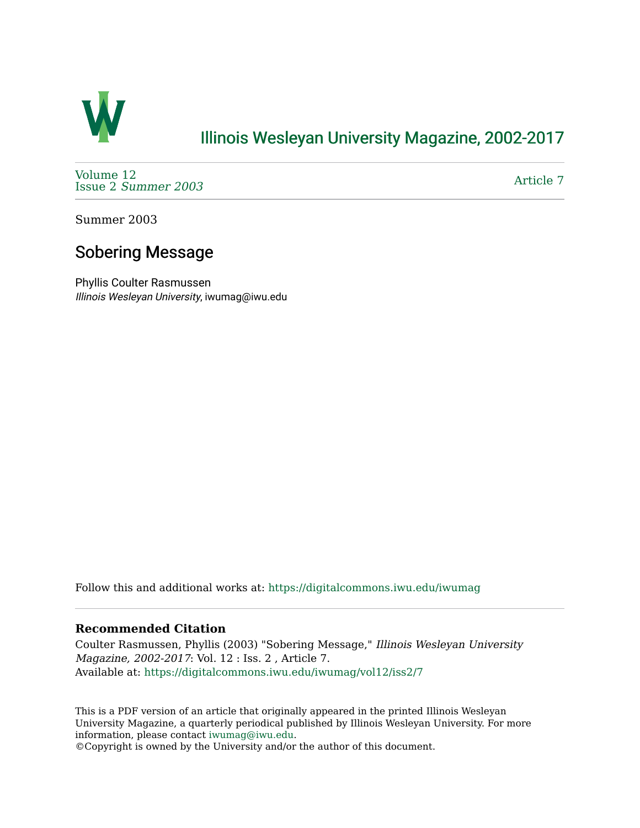

# [Illinois Wesleyan University Magazine, 2002-2017](https://digitalcommons.iwu.edu/iwumag)

[Volume 12](https://digitalcommons.iwu.edu/iwumag/vol12)  Issue 2 [Summer 2003](https://digitalcommons.iwu.edu/iwumag/vol12/iss2) 

[Article 7](https://digitalcommons.iwu.edu/iwumag/vol12/iss2/7) 

Summer 2003

### Sobering Message

Phyllis Coulter Rasmussen Illinois Wesleyan University, iwumag@iwu.edu

Follow this and additional works at: [https://digitalcommons.iwu.edu/iwumag](https://digitalcommons.iwu.edu/iwumag?utm_source=digitalcommons.iwu.edu%2Fiwumag%2Fvol12%2Fiss2%2F7&utm_medium=PDF&utm_campaign=PDFCoverPages) 

#### **Recommended Citation**

Coulter Rasmussen, Phyllis (2003) "Sobering Message," Illinois Wesleyan University Magazine, 2002-2017: Vol. 12 : Iss. 2 , Article 7. Available at: [https://digitalcommons.iwu.edu/iwumag/vol12/iss2/7](https://digitalcommons.iwu.edu/iwumag/vol12/iss2/7?utm_source=digitalcommons.iwu.edu%2Fiwumag%2Fvol12%2Fiss2%2F7&utm_medium=PDF&utm_campaign=PDFCoverPages)

This is a PDF version of an article that originally appeared in the printed Illinois Wesleyan University Magazine, a quarterly periodical published by Illinois Wesleyan University. For more information, please contact [iwumag@iwu.edu](mailto:iwumag@iwu.edu).

©Copyright is owned by the University and/or the author of this document.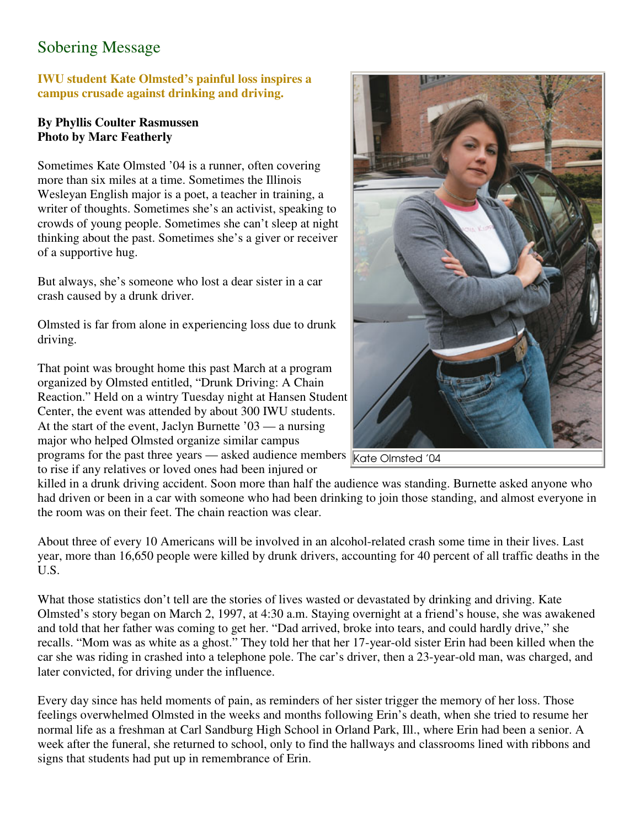# Sobering Message

#### **IWU student Kate Olmsted's painful loss inspires a campus crusade against drinking and driving.**

#### **By Phyllis Coulter Rasmussen Photo by Marc Featherly**

Sometimes Kate Olmsted '04 is a runner, often covering more than six miles at a time. Sometimes the Illinois Wesleyan English major is a poet, a teacher in training, a writer of thoughts. Sometimes she's an activist, speaking to crowds of young people. Sometimes she can't sleep at night thinking about the past. Sometimes she's a giver or receiver of a supportive hug.

But always, she's someone who lost a dear sister in a car crash caused by a drunk driver.

Olmsted is far from alone in experiencing loss due to drunk driving.

That point was brought home this past March at a program organized by Olmsted entitled, "Drunk Driving: A Chain Reaction." Held on a wintry Tuesday night at Hansen Student Center, the event was attended by about 300 IWU students. At the start of the event, Jaclyn Burnette '03 — a nursing major who helped Olmsted organize similar campus programs for the past three years — asked audience members Kate Olmsted '04 to rise if any relatives or loved ones had been injured or



killed in a drunk driving accident. Soon more than half the audience was standing. Burnette asked anyone who had driven or been in a car with someone who had been drinking to join those standing, and almost everyone in the room was on their feet. The chain reaction was clear.

About three of every 10 Americans will be involved in an alcohol-related crash some time in their lives. Last year, more than 16,650 people were killed by drunk drivers, accounting for 40 percent of all traffic deaths in the U.S.

What those statistics don't tell are the stories of lives wasted or devastated by drinking and driving. Kate Olmsted's story began on March 2, 1997, at 4:30 a.m. Staying overnight at a friend's house, she was awakened and told that her father was coming to get her. "Dad arrived, broke into tears, and could hardly drive," she recalls. "Mom was as white as a ghost." They told her that her 17-year-old sister Erin had been killed when the car she was riding in crashed into a telephone pole. The car's driver, then a 23-year-old man, was charged, and later convicted, for driving under the influence.

Every day since has held moments of pain, as reminders of her sister trigger the memory of her loss. Those feelings overwhelmed Olmsted in the weeks and months following Erin's death, when she tried to resume her normal life as a freshman at Carl Sandburg High School in Orland Park, Ill., where Erin had been a senior. A week after the funeral, she returned to school, only to find the hallways and classrooms lined with ribbons and signs that students had put up in remembrance of Erin.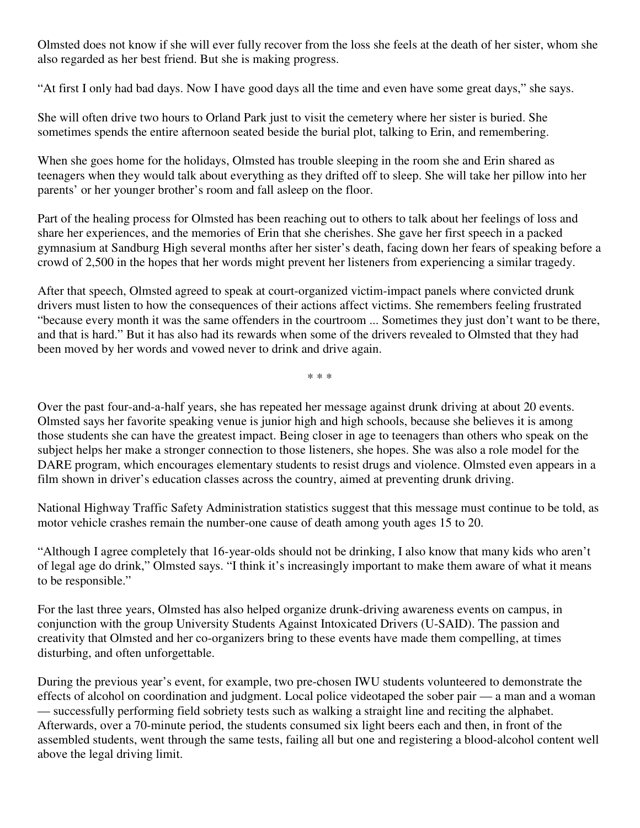Olmsted does not know if she will ever fully recover from the loss she feels at the death of her sister, whom she also regarded as her best friend. But she is making progress.

"At first I only had bad days. Now I have good days all the time and even have some great days," she says.

She will often drive two hours to Orland Park just to visit the cemetery where her sister is buried. She sometimes spends the entire afternoon seated beside the burial plot, talking to Erin, and remembering.

When she goes home for the holidays, Olmsted has trouble sleeping in the room she and Erin shared as teenagers when they would talk about everything as they drifted off to sleep. She will take her pillow into her parents' or her younger brother's room and fall asleep on the floor.

Part of the healing process for Olmsted has been reaching out to others to talk about her feelings of loss and share her experiences, and the memories of Erin that she cherishes. She gave her first speech in a packed gymnasium at Sandburg High several months after her sister's death, facing down her fears of speaking before a crowd of 2,500 in the hopes that her words might prevent her listeners from experiencing a similar tragedy.

After that speech, Olmsted agreed to speak at court-organized victim-impact panels where convicted drunk drivers must listen to how the consequences of their actions affect victims. She remembers feeling frustrated "because every month it was the same offenders in the courtroom ... Sometimes they just don't want to be there, and that is hard." But it has also had its rewards when some of the drivers revealed to Olmsted that they had been moved by her words and vowed never to drink and drive again.

\* \* \*

Over the past four-and-a-half years, she has repeated her message against drunk driving at about 20 events. Olmsted says her favorite speaking venue is junior high and high schools, because she believes it is among those students she can have the greatest impact. Being closer in age to teenagers than others who speak on the subject helps her make a stronger connection to those listeners, she hopes. She was also a role model for the DARE program, which encourages elementary students to resist drugs and violence. Olmsted even appears in a film shown in driver's education classes across the country, aimed at preventing drunk driving.

National Highway Traffic Safety Administration statistics suggest that this message must continue to be told, as motor vehicle crashes remain the number-one cause of death among youth ages 15 to 20.

"Although I agree completely that 16-year-olds should not be drinking, I also know that many kids who aren't of legal age do drink," Olmsted says. "I think it's increasingly important to make them aware of what it means to be responsible."

For the last three years, Olmsted has also helped organize drunk-driving awareness events on campus, in conjunction with the group University Students Against Intoxicated Drivers (U-SAID). The passion and creativity that Olmsted and her co-organizers bring to these events have made them compelling, at times disturbing, and often unforgettable.

During the previous year's event, for example, two pre-chosen IWU students volunteered to demonstrate the effects of alcohol on coordination and judgment. Local police videotaped the sober pair — a man and a woman — successfully performing field sobriety tests such as walking a straight line and reciting the alphabet. Afterwards, over a 70-minute period, the students consumed six light beers each and then, in front of the assembled students, went through the same tests, failing all but one and registering a blood-alcohol content well above the legal driving limit.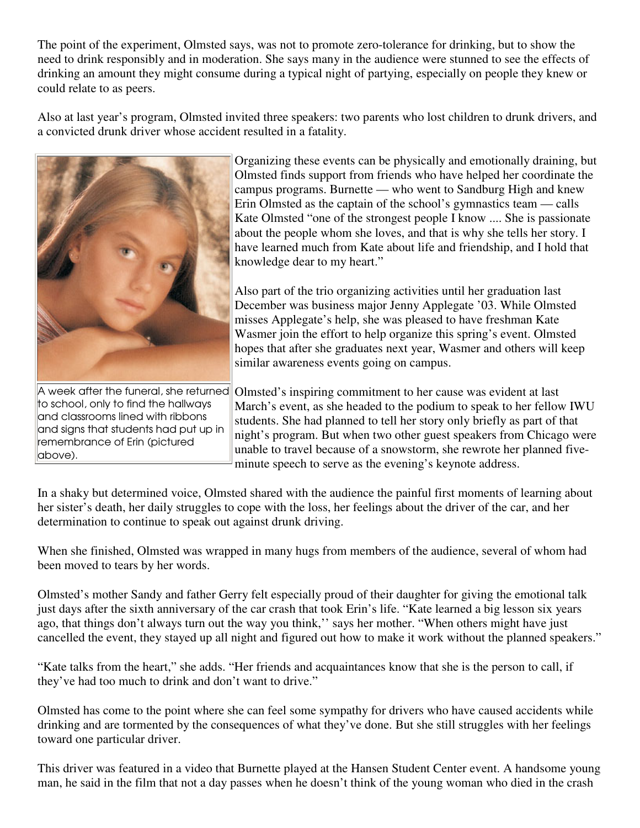The point of the experiment, Olmsted says, was not to promote zero-tolerance for drinking, but to show the need to drink responsibly and in moderation. She says many in the audience were stunned to see the effects of drinking an amount they might consume during a typical night of partying, especially on people they knew or could relate to as peers.

Also at last year's program, Olmsted invited three speakers: two parents who lost children to drunk drivers, and a convicted drunk driver whose accident resulted in a fatality.



A week after the funeral, she returned to school, only to find the hallways and classrooms lined with ribbons and signs that students had put up in remembrance of Erin (pictured above).

Organizing these events can be physically and emotionally draining, but Olmsted finds support from friends who have helped her coordinate the campus programs. Burnette — who went to Sandburg High and knew Erin Olmsted as the captain of the school's gymnastics team — calls Kate Olmsted "one of the strongest people I know .... She is passionate about the people whom she loves, and that is why she tells her story. I have learned much from Kate about life and friendship, and I hold that knowledge dear to my heart."

Also part of the trio organizing activities until her graduation last December was business major Jenny Applegate '03. While Olmsted misses Applegate's help, she was pleased to have freshman Kate Wasmer join the effort to help organize this spring's event. Olmsted hopes that after she graduates next year, Wasmer and others will keep similar awareness events going on campus.

Olmsted's inspiring commitment to her cause was evident at last March's event, as she headed to the podium to speak to her fellow IWU students. She had planned to tell her story only briefly as part of that night's program. But when two other guest speakers from Chicago were unable to travel because of a snowstorm, she rewrote her planned fiveminute speech to serve as the evening's keynote address.

In a shaky but determined voice, Olmsted shared with the audience the painful first moments of learning about her sister's death, her daily struggles to cope with the loss, her feelings about the driver of the car, and her determination to continue to speak out against drunk driving.

When she finished, Olmsted was wrapped in many hugs from members of the audience, several of whom had been moved to tears by her words.

Olmsted's mother Sandy and father Gerry felt especially proud of their daughter for giving the emotional talk just days after the sixth anniversary of the car crash that took Erin's life. "Kate learned a big lesson six years ago, that things don't always turn out the way you think,'' says her mother. "When others might have just cancelled the event, they stayed up all night and figured out how to make it work without the planned speakers."

"Kate talks from the heart," she adds. "Her friends and acquaintances know that she is the person to call, if they've had too much to drink and don't want to drive."

Olmsted has come to the point where she can feel some sympathy for drivers who have caused accidents while drinking and are tormented by the consequences of what they've done. But she still struggles with her feelings toward one particular driver.

This driver was featured in a video that Burnette played at the Hansen Student Center event. A handsome young man, he said in the film that not a day passes when he doesn't think of the young woman who died in the crash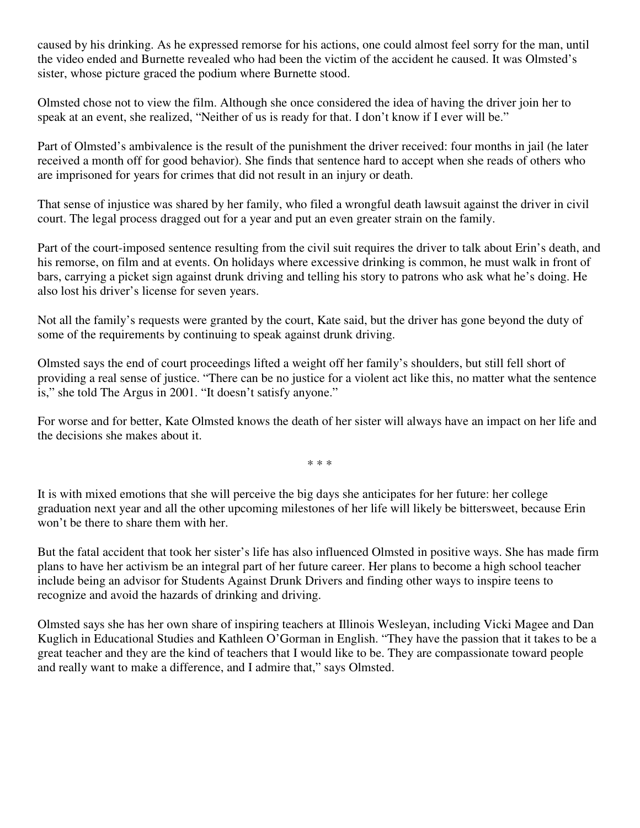caused by his drinking. As he expressed remorse for his actions, one could almost feel sorry for the man, until the video ended and Burnette revealed who had been the victim of the accident he caused. It was Olmsted's sister, whose picture graced the podium where Burnette stood.

Olmsted chose not to view the film. Although she once considered the idea of having the driver join her to speak at an event, she realized, "Neither of us is ready for that. I don't know if I ever will be."

Part of Olmsted's ambivalence is the result of the punishment the driver received: four months in jail (he later received a month off for good behavior). She finds that sentence hard to accept when she reads of others who are imprisoned for years for crimes that did not result in an injury or death.

That sense of injustice was shared by her family, who filed a wrongful death lawsuit against the driver in civil court. The legal process dragged out for a year and put an even greater strain on the family.

Part of the court-imposed sentence resulting from the civil suit requires the driver to talk about Erin's death, and his remorse, on film and at events. On holidays where excessive drinking is common, he must walk in front of bars, carrying a picket sign against drunk driving and telling his story to patrons who ask what he's doing. He also lost his driver's license for seven years.

Not all the family's requests were granted by the court, Kate said, but the driver has gone beyond the duty of some of the requirements by continuing to speak against drunk driving.

Olmsted says the end of court proceedings lifted a weight off her family's shoulders, but still fell short of providing a real sense of justice. "There can be no justice for a violent act like this, no matter what the sentence is," she told The Argus in 2001. "It doesn't satisfy anyone."

For worse and for better, Kate Olmsted knows the death of her sister will always have an impact on her life and the decisions she makes about it.

\* \* \*

It is with mixed emotions that she will perceive the big days she anticipates for her future: her college graduation next year and all the other upcoming milestones of her life will likely be bittersweet, because Erin won't be there to share them with her.

But the fatal accident that took her sister's life has also influenced Olmsted in positive ways. She has made firm plans to have her activism be an integral part of her future career. Her plans to become a high school teacher include being an advisor for Students Against Drunk Drivers and finding other ways to inspire teens to recognize and avoid the hazards of drinking and driving.

Olmsted says she has her own share of inspiring teachers at Illinois Wesleyan, including Vicki Magee and Dan Kuglich in Educational Studies and Kathleen O'Gorman in English. "They have the passion that it takes to be a great teacher and they are the kind of teachers that I would like to be. They are compassionate toward people and really want to make a difference, and I admire that," says Olmsted.